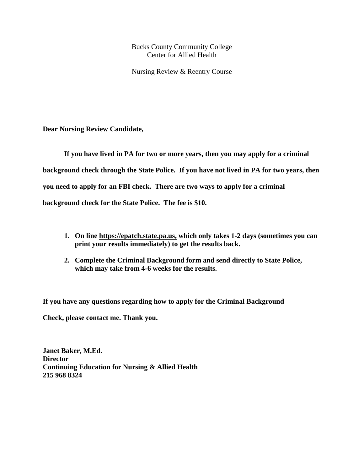Bucks County Community College Center for Allied Health

Nursing Review & Reentry Course

**Dear Nursing Review Candidate,**

**If you have lived in PA for two or more years, then you may apply for a criminal background check through the State Police. If you have not lived in PA for two years, then you need to apply for an FBI check. There are two ways to apply for a criminal background check for the State Police. The fee is \$10.**

- **1. On line https://epatch.state.pa.us, which only takes 1-2 days (sometimes you can print your results immediately) to get the results back.**
- **2. Complete the Criminal Background form and send directly to State Police, which may take from 4-6 weeks for the results.**

**If you have any questions regarding how to apply for the Criminal Background**

**Check, please contact me. Thank you.** 

**Janet Baker, M.Ed. Director Continuing Education for Nursing & Allied Health 215 968 8324**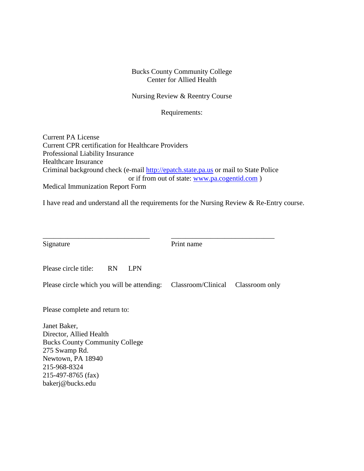### Bucks County Community College Center for Allied Health

Nursing Review & Reentry Course

Requirements:

Current PA License Current CPR certification for Healthcare Providers Professional Liability Insurance Healthcare Insurance Criminal background check (e-mail [http://epatch.state.pa.us](http://epatch.state.pa.us/) or mail to State Police or if from out of state: [www.pa.cogentid.com](http://www.pa.cogentid.com/) ) Medical Immunization Report Form

I have read and understand all the requirements for the Nursing Review & Re-Entry course.

| Signature                                                                     | Print name         |                |
|-------------------------------------------------------------------------------|--------------------|----------------|
| Please circle title:<br><b>RN</b><br><b>LPN</b>                               |                    |                |
| Please circle which you will be attending:                                    | Classroom/Clinical | Classroom only |
| Please complete and return to:                                                |                    |                |
| Janet Baker,                                                                  |                    |                |
| Director, Allied Health                                                       |                    |                |
| <b>Bucks County Community College</b>                                         |                    |                |
| 275 Swamp Rd.                                                                 |                    |                |
| Newtown, PA 18940                                                             |                    |                |
| 215-968-8324                                                                  |                    |                |
| $\bullet \bullet = \bullet \bullet = \bullet \bullet \bullet \bullet \bullet$ |                    |                |

215-497-8765 (fax) bakerj@bucks.edu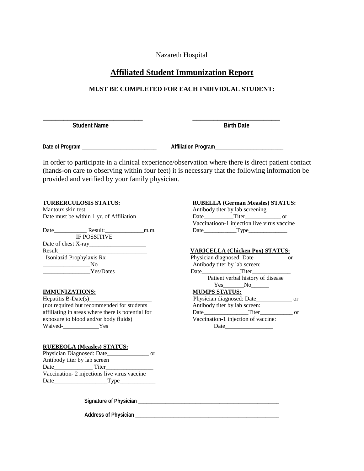Nazareth Hospital

## **Affiliated Student Immunization Report**

### **MUST BE COMPLETED FOR EACH INDIVIDUAL STUDENT:**

**\_\_\_\_\_\_\_\_\_\_\_\_\_\_\_\_\_\_\_\_\_\_\_\_ \_\_\_\_\_\_\_\_\_\_\_\_\_\_\_\_\_\_\_\_\_Student Name Birth Date** 

**Date of Program** \_\_\_\_\_\_\_\_\_\_\_\_\_\_\_\_\_\_\_\_\_\_\_\_\_ **Affiliation Program**\_\_\_\_\_\_\_\_\_\_\_\_\_\_\_\_\_\_\_\_\_\_\_

In order to participate in a clinical experience/observation where there is direct patient contact (hands-on care to observing within four feet) it is necessary that the following information be provided and verified by your family physician.

Mantoux skin test Antibody titer by lab screening

Date\_\_\_\_\_\_\_\_\_\_\_ Result:\_\_\_\_\_\_\_\_\_\_\_\_\_m.m. Date\_\_\_\_\_\_\_\_\_\_\_Type\_\_\_\_\_\_\_\_\_\_\_\_\_ IF POSSITIVE Date of chest X-ray\_\_\_\_\_\_\_\_\_\_\_\_\_\_\_\_\_\_\_ Result\_\_\_\_\_\_\_\_\_\_\_\_\_\_\_\_\_\_\_\_\_\_\_\_\_\_\_\_\_\_ **VARICELLA (Chicken Pox) STATUS:** Isoniazid Prophylaxis Rx Physician diagnosed: Date\_\_\_\_\_\_\_\_\_\_\_ or \_\_\_\_\_\_\_\_\_\_\_\_\_\_\_\_No Antibody titer by lab screen:

# **IMMUNIZATIONS:**<br>**Hepatitis B-Date(s)\_**

(not required but recommended for students affiliating in areas where there is potential for exposure to blood and/or body fluids) Vaccination-1 injection of vaccine: Waived-\_\_\_\_\_\_\_\_\_\_\_\_Yes Date\_\_\_\_\_\_\_\_\_\_\_\_\_\_\_\_

### **RUEBEOLA (Measles) STATUS:**

| Physician Diagnosed: Date                   |       | or |  |  |
|---------------------------------------------|-------|----|--|--|
| Antibody titer by lab screen                |       |    |  |  |
| Date                                        | Titer |    |  |  |
| Vaccination-2 injections live virus vaccine |       |    |  |  |
| Date                                        | Type  |    |  |  |

**Signature of Physician \_\_\_\_\_\_\_\_\_\_\_\_\_\_\_\_\_\_\_\_\_\_\_\_\_\_\_\_\_\_\_\_\_\_\_\_\_\_\_\_\_\_\_\_\_\_\_\_\_\_\_\_**

**Address of Physician \_\_\_\_\_\_\_\_\_\_\_\_\_\_\_\_\_\_\_\_\_\_\_\_\_\_\_\_\_\_\_\_\_\_\_\_\_\_\_\_\_\_\_\_\_\_\_\_\_\_\_\_\_**

# **TURBERCULOSIS STATUS:**<br>
Mantoux skin test<br> **RUBELLA (German Measles) STATUS:**<br>
Antibody titer by lab screening

Date must be within 1 yr. of Affiliation Date Date Date Titer Titer or Vaccinatioon-1 injection live virus vaccine

\_\_\_\_\_\_\_\_\_\_\_\_\_\_\_\_Yes/Dates Date\_\_\_\_\_\_\_\_\_\_\_\_\_Titer\_\_\_\_\_\_\_\_\_\_\_\_\_ Patient verbal history of disease Yes\_\_\_\_\_\_No\_\_\_\_\_\_\_<br>MUMPS STATUS: Physician diagnosed: Date\_\_\_\_\_\_\_\_\_\_\_\_ or affiliating in areas where there is potential for Date\_\_\_\_\_\_\_\_\_\_\_\_\_\_\_Titer\_\_\_\_\_\_\_\_\_\_\_ or